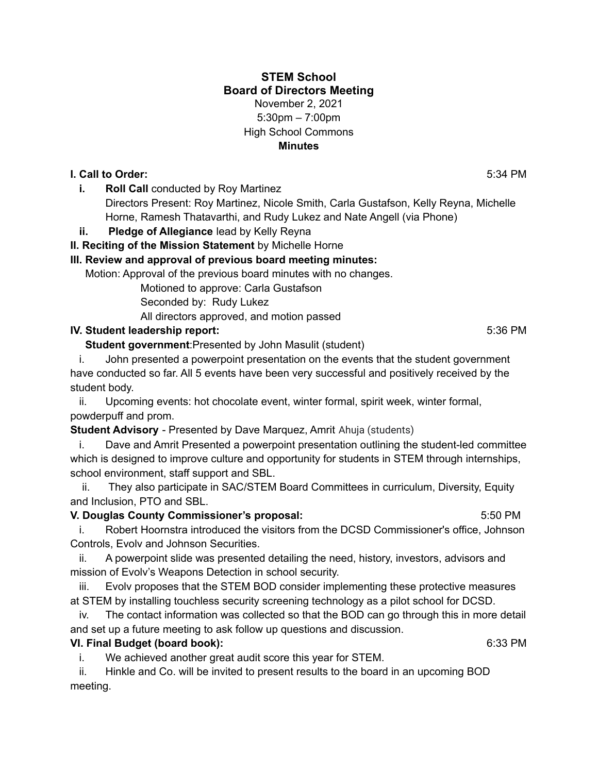## **STEM School Board of Directors Meeting** November 2, 2021 5:30pm – 7:00pm High School Commons **Minutes**

## **I. Call to Order:** 5:34 PM

**i. Roll Call** conducted by Roy Martinez

Directors Present: Roy Martinez, Nicole Smith, Carla Gustafson, Kelly Reyna, Michelle Horne, Ramesh Thatavarthi, and Rudy Lukez and Nate Angell (via Phone)

# **ii. Pledge of Allegiance** lead by Kelly Reyna

**II. Reciting of the Mission Statement** by Michelle Horne

# **III. Review and approval of previous board meeting minutes:**

Motion: Approval of the previous board minutes with no changes.

Motioned to approve: Carla Gustafson

Seconded by: Rudy Lukez

All directors approved, and motion passed

# **IV. Student leadership report:** 5:36 PM

**Student government**:Presented by John Masulit (student)

i. John presented a powerpoint presentation on the events that the student government have conducted so far. All 5 events have been very successful and positively received by the student body.

ii. Upcoming events: hot chocolate event, winter formal, spirit week, winter formal, powderpuff and prom.

**Student Advisory** - Presented by Dave Marquez, Amrit Ahuja (students)

i. Dave and Amrit Presented a powerpoint presentation outlining the student-led committee which is designed to improve culture and opportunity for students in STEM through internships, school environment, staff support and SBL.

ii. They also participate in SAC/STEM Board Committees in curriculum, Diversity, Equity and Inclusion, PTO and SBL.

#### **V. Douglas County Commissioner's proposal:** 5:50 PM

i. Robert Hoornstra introduced the visitors from the DCSD Commissioner's office, Johnson Controls, Evolv and Johnson Securities.

ii. A powerpoint slide was presented detailing the need, history, investors, advisors and mission of Evolv's Weapons Detection in school security.

iii. Evolv proposes that the STEM BOD consider implementing these protective measures at STEM by installing touchless security screening technology as a pilot school for DCSD.

iv. The contact information was collected so that the BOD can go through this in more detail and set up a future meeting to ask follow up questions and discussion.

# **VI. Final Budget (board book):** 6:33 PM

i. We achieved another great audit score this year for STEM.

ii. Hinkle and Co. will be invited to present results to the board in an upcoming BOD meeting.